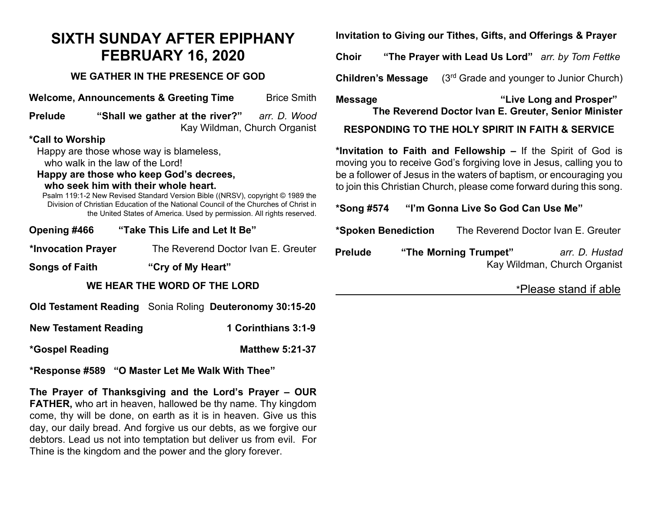## **SIXTH SUNDAY AFTER EPIPHANY FEBRUARY 16, 2020**

## **WE GATHER IN THE PRESENCE OF GOD**

**Welcome, Announcements & Greeting Time** Brice Smith **Prelude "Shall we gather at the river?"** *arr. D. Wood*

Kay Wildman, Church Organist

## **\*Call to Worship**

Happy are those whose way is blameless, who walk in the law of the Lord!

**Happy are those who keep God's decrees,** 

## **who seek him with their whole heart.**

Psalm 119:1-2 New Revised Standard Version Bible ((NRSV), copyright © 1989 the Division of Christian Education of the National Council of the Churches of Christ in the United States of America. Used by permission. All rights reserved.

**Opening #466 "Take This Life and Let It Be"** 

**\*Invocation Prayer** The Reverend Doctor Ivan E. Greuter

**Songs of Faith "Cry of My Heart"**

**WE HEAR THE WORD OF THE LORD**

**Old Testament Reading** Sonia Roling **Deuteronomy 30:15-20**

**New Testament Reading 1 Corinthians 3:1-9** 

**\*Gospel Reading Matthew 5:21-37**

**\*Response #589 "O Master Let Me Walk With Thee"**

**The Prayer of Thanksgiving and the Lord's Prayer – OUR FATHER,** who art in heaven, hallowed be thy name. Thy kingdom come, thy will be done, on earth as it is in heaven. Give us this day, our daily bread. And forgive us our debts, as we forgive our debtors. Lead us not into temptation but deliver us from evil. For Thine is the kingdom and the power and the glory forever.

**Invitation to Giving our Tithes, Gifts, and Offerings & Prayer**

**Choir "The Prayer with Lead Us Lord"** *arr. by Tom Fettke*

**Children's Message** (3<sup>rd</sup> Grade and younger to Junior Church)

**Message "Live Long and Prosper" The Reverend Doctor Ivan E. Greuter, Senior Minister**

**RESPONDING TO THE HOLY SPIRIT IN FAITH & SERVICE**

**\*Invitation to Faith and Fellowship –** If the Spirit of God is moving you to receive God's forgiving love in Jesus, calling you to be a follower of Jesus in the waters of baptism, or encouraging you to join this Christian Church, please come forward during this song.

**\*Song #574 "I'm Gonna Live So God Can Use Me"**

**\*Spoken Benediction** The Reverend Doctor Ivan E. Greuter

**Prelude "The Morning Trumpet"** *arr. D. Hustad* Kay Wildman, Church Organist

\*Please stand if able